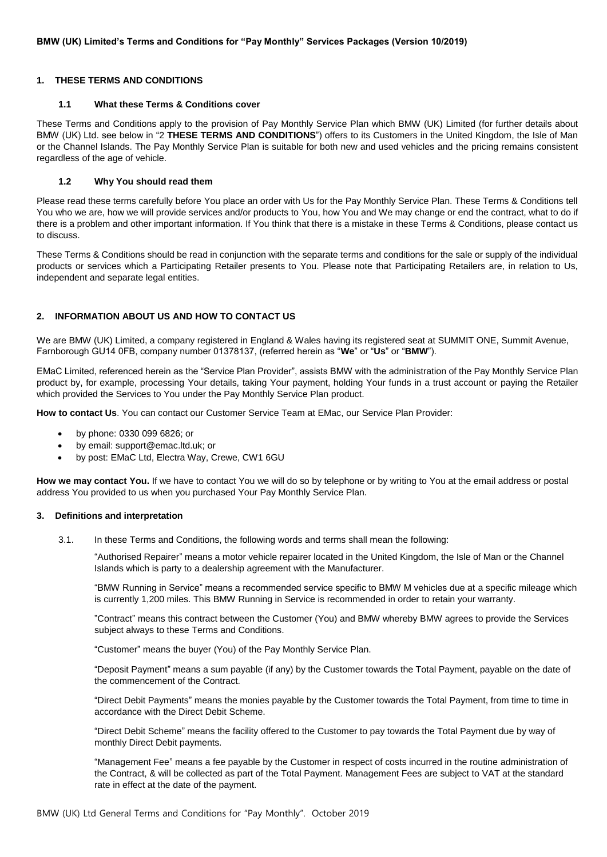# <span id="page-0-1"></span>**1. THESE TERMS AND CONDITIONS**

## **1.1 What these Terms & Conditions cover**

These Terms and Conditions apply to the provision of Pay Monthly Service Plan which BMW (UK) Limited (for further details about BMW (UK) Ltd. see below in ["2](#page-0-0) **[THESE TERMS AND CONDITIONS](#page-0-1)**") offers to its Customers in the United Kingdom, the Isle of Man or the Channel Islands. The Pay Monthly Service Plan is suitable for both new and used vehicles and the pricing remains consistent regardless of the age of vehicle.

## **1.2 Why You should read them**

Please read these terms carefully before You place an order with Us for the Pay Monthly Service Plan. These Terms & Conditions tell You who we are, how we will provide services and/or products to You, how You and We may change or end the contract, what to do if there is a problem and other important information. If You think that there is a mistake in these Terms & Conditions, please contact us to discuss.

These Terms & Conditions should be read in conjunction with the separate terms and conditions for the sale or supply of the individual products or services which a Participating Retailer presents to You. Please note that Participating Retailers are, in relation to Us, independent and separate legal entities.

# <span id="page-0-0"></span>**2. INFORMATION ABOUT US AND HOW TO CONTACT US**

We are BMW (UK) Limited, a company registered in England & Wales having its registered seat at SUMMIT ONE, Summit Avenue, Farnborough GU14 0FB, company number 01378137, (referred herein as "**We**" or "**Us**" or "**BMW**").

EMaC Limited, referenced herein as the "Service Plan Provider", assists BMW with the administration of the Pay Monthly Service Plan product by, for example, processing Your details, taking Your payment, holding Your funds in a trust account or paying the Retailer which provided the Services to You under the Pay Monthly Service Plan product.

**How to contact Us**. You can contact our Customer Service Team at EMac, our Service Plan Provider:

- by phone: 0330 099 6826; or
- by email: support@emac.ltd.uk; or
- by post: EMaC Ltd, Electra Way, Crewe, CW1 6GU

**How we may contact You.** If we have to contact You we will do so by telephone or by writing to You at the email address or postal address You provided to us when you purchased Your Pay Monthly Service Plan.

## **3. Definitions and interpretation**

3.1. In these Terms and Conditions, the following words and terms shall mean the following:

"Authorised Repairer" means a motor vehicle repairer located in the United Kingdom, the Isle of Man or the Channel Islands which is party to a dealership agreement with the Manufacturer.

"BMW Running in Service" means a recommended service specific to BMW M vehicles due at a specific mileage which is currently 1,200 miles. This BMW Running in Service is recommended in order to retain your warranty.

"Contract" means this contract between the Customer (You) and BMW whereby BMW agrees to provide the Services subject always to these Terms and Conditions.

"Customer" means the buyer (You) of the Pay Monthly Service Plan.

"Deposit Payment" means a sum payable (if any) by the Customer towards the Total Payment, payable on the date of the commencement of the Contract.

"Direct Debit Payments" means the monies payable by the Customer towards the Total Payment, from time to time in accordance with the Direct Debit Scheme.

"Direct Debit Scheme" means the facility offered to the Customer to pay towards the Total Payment due by way of monthly Direct Debit payments.

"Management Fee" means a fee payable by the Customer in respect of costs incurred in the routine administration of the Contract, & will be collected as part of the Total Payment. Management Fees are subject to VAT at the standard rate in effect at the date of the payment.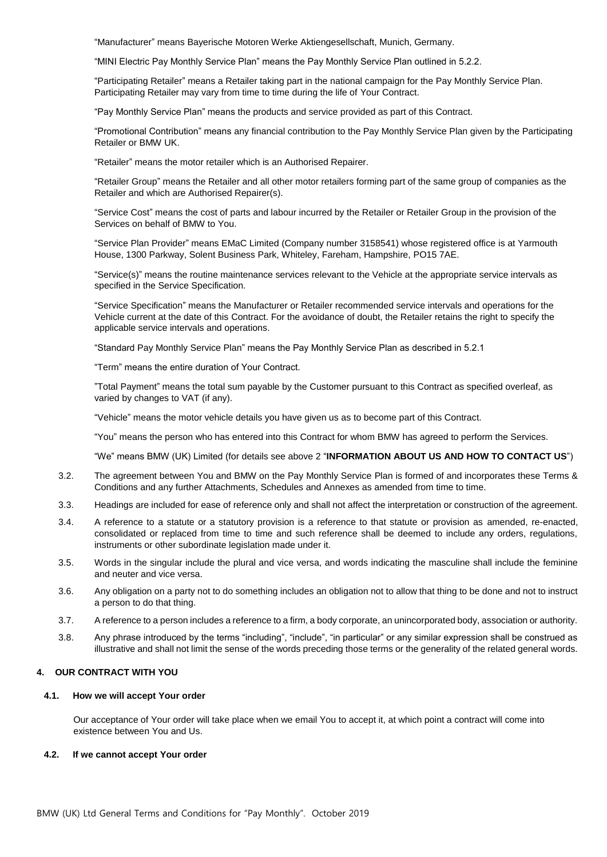"Manufacturer" means Bayerische Motoren Werke Aktiengesellschaft, Munich, Germany.

"MINI Electric Pay Monthly Service Plan" means the Pay Monthly Service Plan outlined in 5.2.2.

"Participating Retailer" means a Retailer taking part in the national campaign for the Pay Monthly Service Plan. Participating Retailer may vary from time to time during the life of Your Contract.

"Pay Monthly Service Plan" means the products and service provided as part of this Contract.

"Promotional Contribution" means any financial contribution to the Pay Monthly Service Plan given by the Participating Retailer or BMW UK.

"Retailer" means the motor retailer which is an Authorised Repairer.

"Retailer Group" means the Retailer and all other motor retailers forming part of the same group of companies as the Retailer and which are Authorised Repairer(s).

"Service Cost" means the cost of parts and labour incurred by the Retailer or Retailer Group in the provision of the Services on behalf of BMW to You.

"Service Plan Provider" means EMaC Limited (Company number 3158541) whose registered office is at Yarmouth House, 1300 Parkway, Solent Business Park, Whiteley, Fareham, Hampshire, PO15 7AE.

"Service(s)" means the routine maintenance services relevant to the Vehicle at the appropriate service intervals as specified in the Service Specification.

"Service Specification" means the Manufacturer or Retailer recommended service intervals and operations for the Vehicle current at the date of this Contract. For the avoidance of doubt, the Retailer retains the right to specify the applicable service intervals and operations.

"Standard Pay Monthly Service Plan" means the Pay Monthly Service Plan as described in 5.2.1

"Term" means the entire duration of Your Contract.

"Total Payment" means the total sum payable by the Customer pursuant to this Contract as specified overleaf, as varied by changes to VAT (if any).

"Vehicle" means the motor vehicle details you have given us as to become part of this Contract.

"You" means the person who has entered into this Contract for whom BMW has agreed to perform the Services.

"We" means BMW (UK) Limited (for details see above [2](#page-0-0) "**[INFORMATION ABOUT US AND HOW TO CONTACT US](#page-0-0)**")

- 3.2. The agreement between You and BMW on the Pay Monthly Service Plan is formed of and incorporates these Terms & Conditions and any further Attachments, Schedules and Annexes as amended from time to time.
- 3.3. Headings are included for ease of reference only and shall not affect the interpretation or construction of the agreement.
- 3.4. A reference to a statute or a statutory provision is a reference to that statute or provision as amended, re-enacted, consolidated or replaced from time to time and such reference shall be deemed to include any orders, regulations, instruments or other subordinate legislation made under it.
- 3.5. Words in the singular include the plural and vice versa, and words indicating the masculine shall include the feminine and neuter and vice versa.
- 3.6. Any obligation on a party not to do something includes an obligation not to allow that thing to be done and not to instruct a person to do that thing.
- 3.7. A reference to a person includes a reference to a firm, a body corporate, an unincorporated body, association or authority.
- 3.8. Any phrase introduced by the terms "including", "include", "in particular" or any similar expression shall be construed as illustrative and shall not limit the sense of the words preceding those terms or the generality of the related general words.

## **4. OUR CONTRACT WITH YOU**

### **4.1. How we will accept Your order**

Our acceptance of Your order will take place when we email You to accept it, at which point a contract will come into existence between You and Us.

## **4.2. If we cannot accept Your order**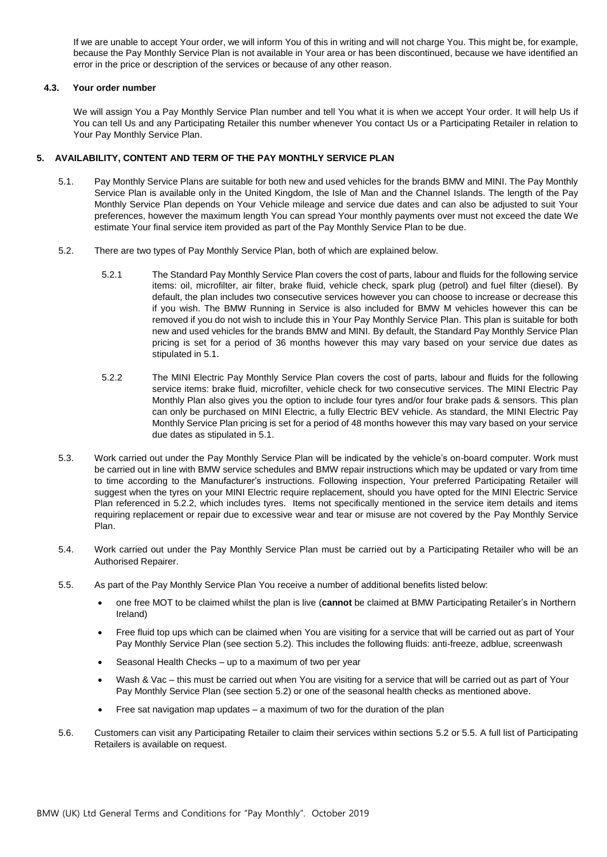If we are unable to accept Your order, we will inform You of this in writing and will not charge You. This might be, for example, because the Pay Monthly Service Plan is not available in Your area or has been discontinued, because we have identified an error in the price or description of the services or because of any other reason.

# **4.3. Your order number**

We will assign You a Pay Monthly Service Plan number and tell You what it is when we accept Your order. It will help Us if You can tell Us and any Participating Retailer this number whenever You contact Us or a Participating Retailer in relation to Your Pay Monthly Service Plan.

# **5. AVAILABILITY, CONTENT AND TERM OF THE PAY MONTHLY SERVICE PLAN**

- 5.1. Pay Monthly Service Plans are suitable for both new and used vehicles for the brands BMW and MINI. The Pay Monthly Service Plan is available only in the United Kingdom, the Isle of Man and the Channel Islands. The length of the Pay Monthly Service Plan depends on Your Vehicle mileage and service due dates and can also be adjusted to suit Your preferences, however the maximum length You can spread Your monthly payments over must not exceed the date We estimate Your final service item provided as part of the Pay Monthly Service Plan to be due.
- 5.2. There are two types of Pay Monthly Service Plan, both of which are explained below.
	- 5.2.1 The Standard Pay Monthly Service Plan covers the cost of parts, labour and fluids for the following service items: oil, microfilter, air filter, brake fluid, vehicle check, spark plug (petrol) and fuel filter (diesel). By default, the plan includes two consecutive services however you can choose to increase or decrease this if you wish. The BMW Running in Service is also included for BMW M vehicles however this can be removed if you do not wish to include this in Your Pay Monthly Service Plan. This plan is suitable for both new and used vehicles for the brands BMW and MINI. By default, the Standard Pay Monthly Service Plan pricing is set for a period of 36 months however this may vary based on your service due dates as stipulated in 5.1.
	- 5.2.2 The MINI Electric Pay Monthly Service Plan covers the cost of parts, labour and fluids for the following service items: brake fluid, microfilter, vehicle check for two consecutive services. The MINI Electric Pay Monthly Plan also gives you the option to include four tyres and/or four brake pads & sensors. This plan can only be purchased on MINI Electric, a fully Electric BEV vehicle. As standard, the MINI Electric Pay Monthly Service Plan pricing is set for a period of 48 months however this may vary based on your service due dates as stipulated in 5.1.
- 5.3. Work carried out under the Pay Monthly Service Plan will be indicated by the vehicle's on-board computer. Work must be carried out in line with BMW service schedules and BMW repair instructions which may be updated or vary from time to time according to the Manufacturer's instructions. Following inspection, Your preferred Participating Retailer will suggest when the tyres on your MINI Electric require replacement, should you have opted for the MINI Electric Service Plan referenced in 5.2.2, which includes tyres. Items not specifically mentioned in the service item details and items requiring replacement or repair due to excessive wear and tear or misuse are not covered by the Pay Monthly Service Plan.
- 5.4. Work carried out under the Pay Monthly Service Plan must be carried out by a Participating Retailer who will be an Authorised Repairer.
- 5.5. As part of the Pay Monthly Service Plan You receive a number of additional benefits listed below:
	- one free MOT to be claimed whilst the plan is live (**cannot** be claimed at BMW Participating Retailer's in Northern Ireland)
	- Free fluid top ups which can be claimed when You are visiting for a service that will be carried out as part of Your Pay Monthly Service Plan (see section 5.2). This includes the following fluids: anti-freeze, adblue, screenwash
	- Seasonal Health Checks up to a maximum of two per year
	- Wash & Vac this must be carried out when You are visiting for a service that will be carried out as part of Your Pay Monthly Service Plan (see section 5.2) or one of the seasonal health checks as mentioned above.
	- Free sat navigation map updates a maximum of two for the duration of the plan
- 5.6. Customers can visit any Participating Retailer to claim their services within sections 5.2 or 5.5. A full list of Participating Retailers is available on request.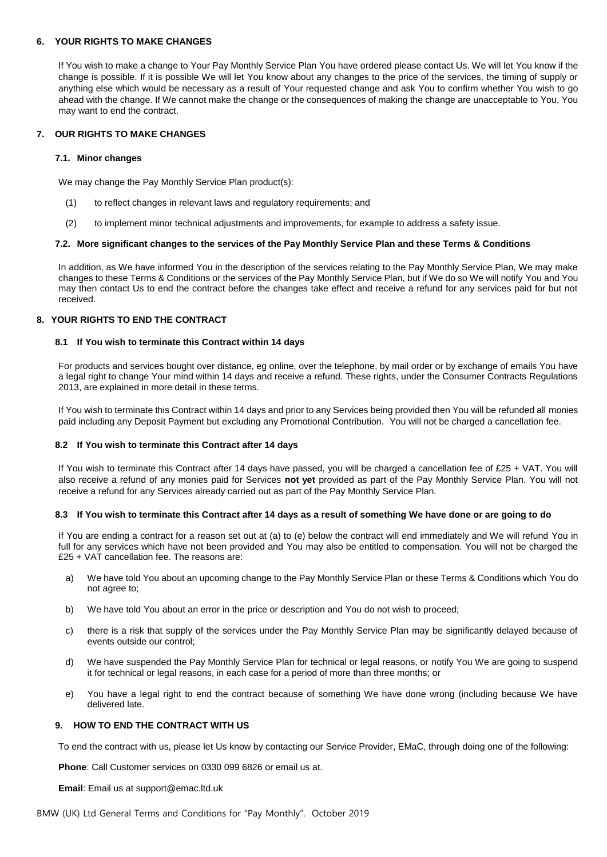## **6. YOUR RIGHTS TO MAKE CHANGES**

If You wish to make a change to Your Pay Monthly Service Plan You have ordered please contact Us. We will let You know if the change is possible. If it is possible We will let You know about any changes to the price of the services, the timing of supply or anything else which would be necessary as a result of Your requested change and ask You to confirm whether You wish to go ahead with the change. If We cannot make the change or the consequences of making the change are unacceptable to You, You may want to end the contract.

## **7. OUR RIGHTS TO MAKE CHANGES**

## **7.1. Minor changes**

We may change the Pay Monthly Service Plan product(s):

- (1) to reflect changes in relevant laws and regulatory requirements; and
- (2) to implement minor technical adjustments and improvements, for example to address a safety issue.

### **7.2. More significant changes to the services of the Pay Monthly Service Plan and these Terms & Conditions**

In addition, as We have informed You in the description of the services relating to the Pay Monthly Service Plan, We may make changes to these Terms & Conditions or the services of the Pay Monthly Service Plan, but if We do so We will notify You and You may then contact Us to end the contract before the changes take effect and receive a refund for any services paid for but not received.

## **8. YOUR RIGHTS TO END THE CONTRACT**

### **8.1 If You wish to terminate this Contract within 14 days**

For products and services bought over distance, eg online, over the telephone, by mail order or by exchange of emails You have a legal right to change Your mind within 14 days and receive a refund. These rights, under the Consumer Contracts Regulations 2013, are explained in more detail in these terms.

If You wish to terminate this Contract within 14 days and prior to any Services being provided then You will be refunded all monies paid including any Deposit Payment but excluding any Promotional Contribution. You will not be charged a cancellation fee.

#### **8.2 If You wish to terminate this Contract after 14 days**

If You wish to terminate this Contract after 14 days have passed, you will be charged a cancellation fee of £25 + VAT. You will also receive a refund of any monies paid for Services **not yet** provided as part of the Pay Monthly Service Plan. You will not receive a refund for any Services already carried out as part of the Pay Monthly Service Plan.

#### **8.3 If You wish to terminate this Contract after 14 days as a result of something We have done or are going to do**

If You are ending a contract for a reason set out at (a) to (e) below the contract will end immediately and We will refund You in full for any services which have not been provided and You may also be entitled to compensation. You will not be charged the £25 + VAT cancellation fee. The reasons are:

- a) We have told You about an upcoming change to the Pay Monthly Service Plan or these Terms & Conditions which You do not agree to;
- b) We have told You about an error in the price or description and You do not wish to proceed;
- c) there is a risk that supply of the services under the Pay Monthly Service Plan may be significantly delayed because of events outside our control;
- d) We have suspended the Pay Monthly Service Plan for technical or legal reasons, or notify You We are going to suspend it for technical or legal reasons, in each case for a period of more than three months; or
- e) You have a legal right to end the contract because of something We have done wrong (including because We have delivered late.

## **9. HOW TO END THE CONTRACT WITH US**

To end the contract with us, please let Us know by contacting our Service Provider, EMaC, through doing one of the following:

**Phone**: Call Customer services on 0330 099 6826 or email us at.

#### **Email**: Email us at support@emac.ltd.uk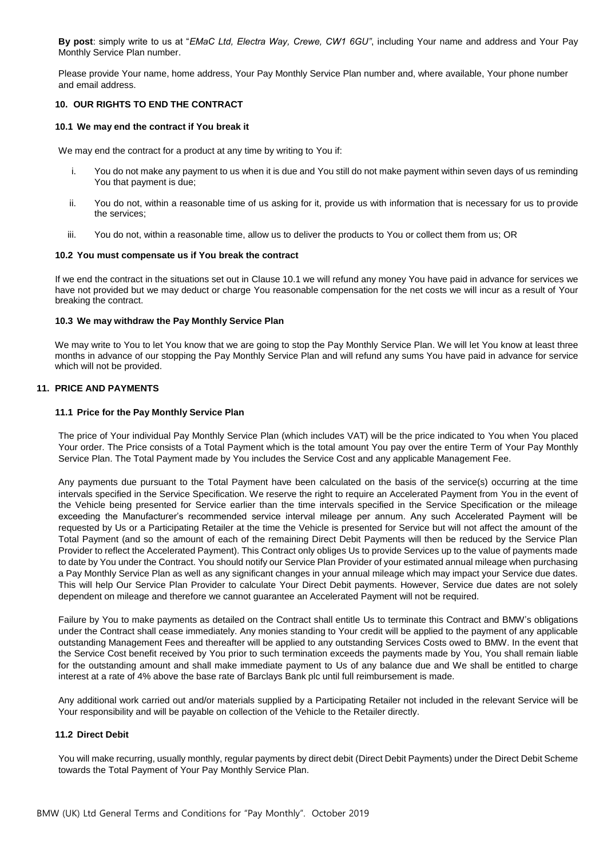**By post**: simply write to us at "*EMaC Ltd, Electra Way, Crewe, CW1 6GU"*, including Your name and address and Your Pay Monthly Service Plan number.

Please provide Your name, home address, Your Pay Monthly Service Plan number and, where available, Your phone number and email address.

## **10. OUR RIGHTS TO END THE CONTRACT**

### **10.1 We may end the contract if You break it**

We may end the contract for a product at any time by writing to You if:

- i. You do not make any payment to us when it is due and You still do not make payment within seven days of us reminding You that payment is due;
- ii. You do not, within a reasonable time of us asking for it, provide us with information that is necessary for us to provide the services;
- iii. You do not, within a reasonable time, allow us to deliver the products to You or collect them from us; OR

### **10.2 You must compensate us if You break the contract**

If we end the contract in the situations set out in Clause 10.1 we will refund any money You have paid in advance for services we have not provided but we may deduct or charge You reasonable compensation for the net costs we will incur as a result of Your breaking the contract.

### **10.3 We may withdraw the Pay Monthly Service Plan**

We may write to You to let You know that we are going to stop the Pay Monthly Service Plan. We will let You know at least three months in advance of our stopping the Pay Monthly Service Plan and will refund any sums You have paid in advance for service which will not be provided.

## **11. PRICE AND PAYMENTS**

### **11.1 Price for the Pay Monthly Service Plan**

The price of Your individual Pay Monthly Service Plan (which includes VAT) will be the price indicated to You when You placed Your order. The Price consists of a Total Payment which is the total amount You pay over the entire Term of Your Pay Monthly Service Plan. The Total Payment made by You includes the Service Cost and any applicable Management Fee.

Any payments due pursuant to the Total Payment have been calculated on the basis of the service(s) occurring at the time intervals specified in the Service Specification. We reserve the right to require an Accelerated Payment from You in the event of the Vehicle being presented for Service earlier than the time intervals specified in the Service Specification or the mileage exceeding the Manufacturer's recommended service interval mileage per annum. Any such Accelerated Payment will be requested by Us or a Participating Retailer at the time the Vehicle is presented for Service but will not affect the amount of the Total Payment (and so the amount of each of the remaining Direct Debit Payments will then be reduced by the Service Plan Provider to reflect the Accelerated Payment). This Contract only obliges Us to provide Services up to the value of payments made to date by You under the Contract. You should notify our Service Plan Provider of your estimated annual mileage when purchasing a Pay Monthly Service Plan as well as any significant changes in your annual mileage which may impact your Service due dates. This will help Our Service Plan Provider to calculate Your Direct Debit payments. However, Service due dates are not solely dependent on mileage and therefore we cannot guarantee an Accelerated Payment will not be required.

Failure by You to make payments as detailed on the Contract shall entitle Us to terminate this Contract and BMW's obligations under the Contract shall cease immediately. Any monies standing to Your credit will be applied to the payment of any applicable outstanding Management Fees and thereafter will be applied to any outstanding Services Costs owed to BMW. In the event that the Service Cost benefit received by You prior to such termination exceeds the payments made by You, You shall remain liable for the outstanding amount and shall make immediate payment to Us of any balance due and We shall be entitled to charge interest at a rate of 4% above the base rate of Barclays Bank plc until full reimbursement is made.

Any additional work carried out and/or materials supplied by a Participating Retailer not included in the relevant Service will be Your responsibility and will be payable on collection of the Vehicle to the Retailer directly.

## **11.2 Direct Debit**

You will make recurring, usually monthly, regular payments by direct debit (Direct Debit Payments) under the Direct Debit Scheme towards the Total Payment of Your Pay Monthly Service Plan.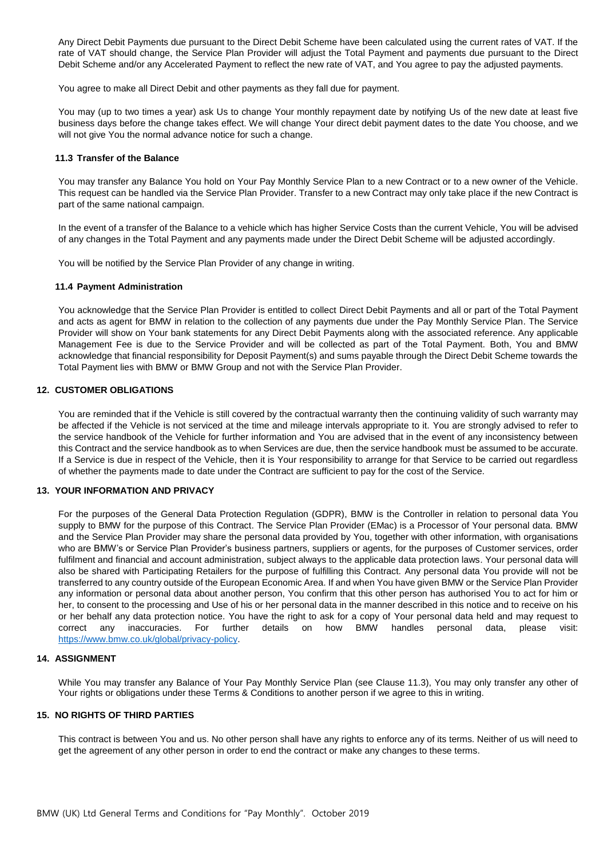Any Direct Debit Payments due pursuant to the Direct Debit Scheme have been calculated using the current rates of VAT. If the rate of VAT should change, the Service Plan Provider will adjust the Total Payment and payments due pursuant to the Direct Debit Scheme and/or any Accelerated Payment to reflect the new rate of VAT, and You agree to pay the adjusted payments.

You agree to make all Direct Debit and other payments as they fall due for payment.

You may (up to two times a year) ask Us to change Your monthly repayment date by notifying Us of the new date at least five business days before the change takes effect. We will change Your direct debit payment dates to the date You choose, and we will not give You the normal advance notice for such a change.

## <span id="page-5-0"></span>**11.3 Transfer of the Balance**

You may transfer any Balance You hold on Your Pay Monthly Service Plan to a new Contract or to a new owner of the Vehicle. This request can be handled via the Service Plan Provider. Transfer to a new Contract may only take place if the new Contract is part of the same national campaign.

In the event of a transfer of the Balance to a vehicle which has higher Service Costs than the current Vehicle, You will be advised of any changes in the Total Payment and any payments made under the Direct Debit Scheme will be adjusted accordingly.

You will be notified by the Service Plan Provider of any change in writing.

### **11.4 Payment Administration**

You acknowledge that the Service Plan Provider is entitled to collect Direct Debit Payments and all or part of the Total Payment and acts as agent for BMW in relation to the collection of any payments due under the Pay Monthly Service Plan. The Service Provider will show on Your bank statements for any Direct Debit Payments along with the associated reference. Any applicable Management Fee is due to the Service Provider and will be collected as part of the Total Payment. Both, You and BMW acknowledge that financial responsibility for Deposit Payment(s) and sums payable through the Direct Debit Scheme towards the Total Payment lies with BMW or BMW Group and not with the Service Plan Provider.

### **12. CUSTOMER OBLIGATIONS**

You are reminded that if the Vehicle is still covered by the contractual warranty then the continuing validity of such warranty may be affected if the Vehicle is not serviced at the time and mileage intervals appropriate to it. You are strongly advised to refer to the service handbook of the Vehicle for further information and You are advised that in the event of any inconsistency between this Contract and the service handbook as to when Services are due, then the service handbook must be assumed to be accurate. If a Service is due in respect of the Vehicle, then it is Your responsibility to arrange for that Service to be carried out regardless of whether the payments made to date under the Contract are sufficient to pay for the cost of the Service.

## **13. YOUR INFORMATION AND PRIVACY**

For the purposes of the General Data Protection Regulation (GDPR), BMW is the Controller in relation to personal data You supply to BMW for the purpose of this Contract. The Service Plan Provider (EMac) is a Processor of Your personal data. BMW and the Service Plan Provider may share the personal data provided by You, together with other information, with organisations who are BMW's or Service Plan Provider's business partners, suppliers or agents, for the purposes of Customer services, order fulfilment and financial and account administration, subject always to the applicable data protection laws. Your personal data will also be shared with Participating Retailers for the purpose of fulfilling this Contract. Any personal data You provide will not be transferred to any country outside of the European Economic Area. If and when You have given BMW or the Service Plan Provider any information or personal data about another person, You confirm that this other person has authorised You to act for him or her, to consent to the processing and Use of his or her personal data in the manner described in this notice and to receive on his or her behalf any data protection notice. You have the right to ask for a copy of Your personal data held and may request to correct any inaccuracies. For further details on how BMW handles personal data, please visit: [https://www.bmw.co.uk/global/privacy-policy.](https://www.bmw.co.uk/global/privacy-policy)

## **14. ASSIGNMENT**

While You may transfer any Balance of Your Pay Monthly Service Plan (see Clause [11.3\)](#page-5-0), You may only transfer any other of Your rights or obligations under these Terms & Conditions to another person if we agree to this in writing.

#### **15. NO RIGHTS OF THIRD PARTIES**

This contract is between You and us. No other person shall have any rights to enforce any of its terms. Neither of us will need to get the agreement of any other person in order to end the contract or make any changes to these terms.